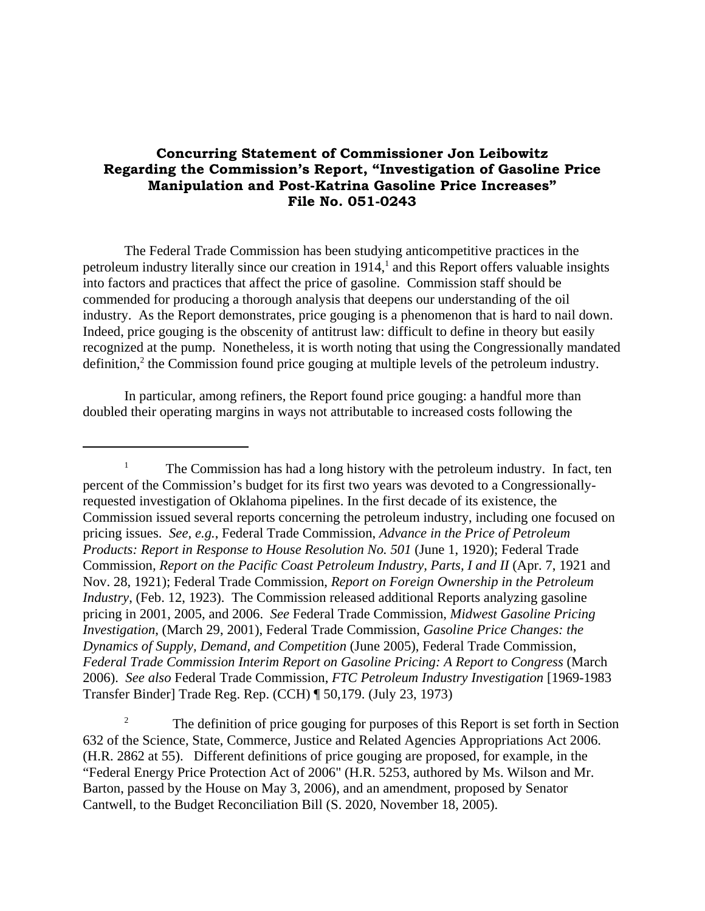## **Concurring Statement of Commissioner Jon Leibowitz Regarding the Commission's Report, "Investigation of Gasoline Price Manipulation and Post-Katrina Gasoline Price Increases" File No. 051-0243**

The Federal Trade Commission has been studying anticompetitive practices in the petroleum industry literally since our creation in 1914,<sup>1</sup> and this Report offers valuable insights into factors and practices that affect the price of gasoline. Commission staff should be commended for producing a thorough analysis that deepens our understanding of the oil industry. As the Report demonstrates, price gouging is a phenomenon that is hard to nail down. Indeed, price gouging is the obscenity of antitrust law: difficult to define in theory but easily recognized at the pump. Nonetheless, it is worth noting that using the Congressionally mandated definition,<sup>2</sup> the Commission found price gouging at multiple levels of the petroleum industry.

In particular, among refiners, the Report found price gouging: a handful more than doubled their operating margins in ways not attributable to increased costs following the

2 The definition of price gouging for purposes of this Report is set forth in Section 632 of the Science, State, Commerce, Justice and Related Agencies Appropriations Act 2006. (H.R. 2862 at 55). Different definitions of price gouging are proposed, for example, in the "Federal Energy Price Protection Act of 2006" (H.R. 5253, authored by Ms. Wilson and Mr. Barton, passed by the House on May 3, 2006), and an amendment, proposed by Senator Cantwell, to the Budget Reconciliation Bill (S. 2020, November 18, 2005).

<sup>&</sup>lt;sup>1</sup> The Commission has had a long history with the petroleum industry. In fact, ten percent of the Commission's budget for its first two years was devoted to a Congressionallyrequested investigation of Oklahoma pipelines. In the first decade of its existence, the Commission issued several reports concerning the petroleum industry, including one focused on pricing issues. *See, e.g.*, Federal Trade Commission, *Advance in the Price of Petroleum Products: Report in Response to House Resolution No. 501* (June 1, 1920); Federal Trade Commission, Report on the Pacific Coast Petroleum Industry, Parts, I and II (Apr. 7, 1921 and Nov. 28, 1921); Federal Trade Commission, *Report on Foreign Ownership in the Petroleum Industry*, (Feb. 12, 1923). The Commission released additional Reports analyzing gasoline pricing in 2001, 2005, and 2006. *See* Federal Trade Commission, *Midwest Gasoline Pricing Investigation*, (March 29, 2001), Federal Trade Commission, *Gasoline Price Changes: the Dynamics of Supply, Demand, and Competition* (June 2005), Federal Trade Commission, *Federal Trade Commission Interim Report on Gasoline Pricing: A Report to Congress* (March 2006). *See also* Federal Trade Commission, *FTC Petroleum Industry Investigation* [1969-1983 Transfer Binder] Trade Reg. Rep. (CCH) ¶ 50,179. (July 23, 1973)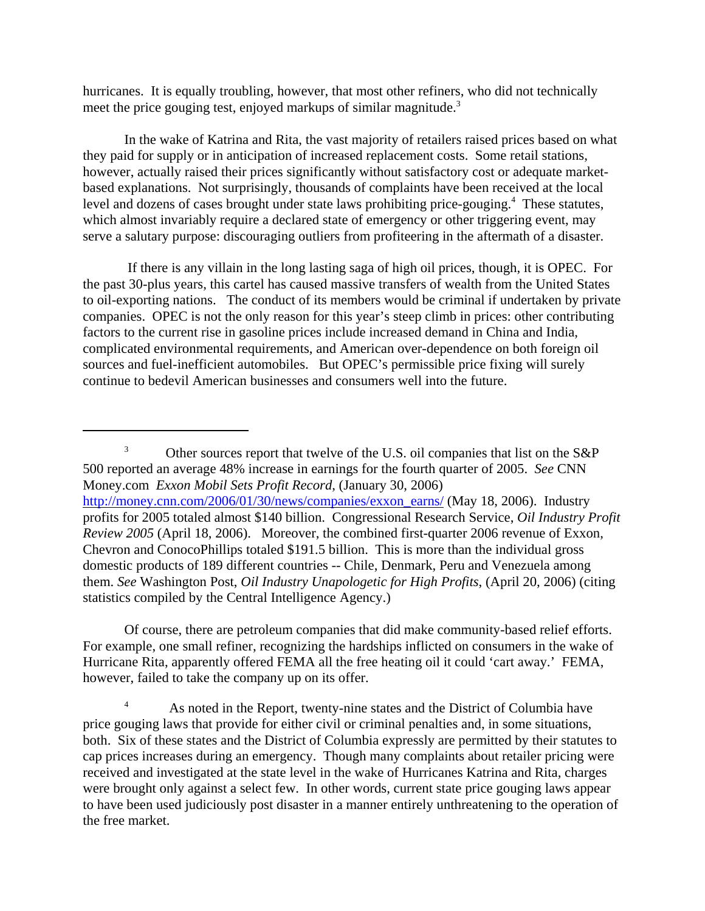hurricanes. It is equally troubling, however, that most other refiners, who did not technically meet the price gouging test, enjoyed markups of similar magnitude.<sup>3</sup>

In the wake of Katrina and Rita, the vast majority of retailers raised prices based on what they paid for supply or in anticipation of increased replacement costs. Some retail stations, however, actually raised their prices significantly without satisfactory cost or adequate marketbased explanations. Not surprisingly, thousands of complaints have been received at the local level and dozens of cases brought under state laws prohibiting price-gouging.<sup>4</sup> These statutes, which almost invariably require a declared state of emergency or other triggering event, may serve a salutary purpose: discouraging outliers from profiteering in the aftermath of a disaster.

 If there is any villain in the long lasting saga of high oil prices, though, it is OPEC. For the past 30-plus years, this cartel has caused massive transfers of wealth from the United States to oil-exporting nations. The conduct of its members would be criminal if undertaken by private companies. OPEC is not the only reason for this year's steep climb in prices: other contributing factors to the current rise in gasoline prices include increased demand in China and India, complicated environmental requirements, and American over-dependence on both foreign oil sources and fuel-inefficient automobiles. But OPEC's permissible price fixing will surely continue to bedevil American businesses and consumers well into the future.

Of course, there are petroleum companies that did make community-based relief efforts. For example, one small refiner, recognizing the hardships inflicted on consumers in the wake of Hurricane Rita, apparently offered FEMA all the free heating oil it could 'cart away.' FEMA, however, failed to take the company up on its offer.

<sup>4</sup> As noted in the Report, twenty-nine states and the District of Columbia have price gouging laws that provide for either civil or criminal penalties and, in some situations, both. Six of these states and the District of Columbia expressly are permitted by their statutes to cap prices increases during an emergency. Though many complaints about retailer pricing were received and investigated at the state level in the wake of Hurricanes Katrina and Rita, charges were brought only against a select few. In other words, current state price gouging laws appear to have been used judiciously post disaster in a manner entirely unthreatening to the operation of the free market.

<sup>&</sup>lt;sup>3</sup> Other sources report that twelve of the U.S. oil companies that list on the S&P 500 reported an average 48% increase in earnings for the fourth quarter of 2005. *See* CNN Money.com *Exxon Mobil Sets Profit Record*, (January 30, 2006) http://money.cnn.com/2006/01/30/news/companies/exxon\_earns/ (May 18, 2006). Industry profits for 2005 totaled almost \$140 billion. Congressional Research Service, *Oil Industry Profit Review 2005* (April 18, 2006). Moreover, the combined first-quarter 2006 revenue of Exxon, Chevron and ConocoPhillips totaled \$191.5 billion. This is more than the individual gross domestic products of 189 different countries -- Chile, Denmark, Peru and Venezuela among them. *See* Washington Post, *Oil Industry Unapologetic for High Profits*, (April 20, 2006) (citing statistics compiled by the Central Intelligence Agency.)